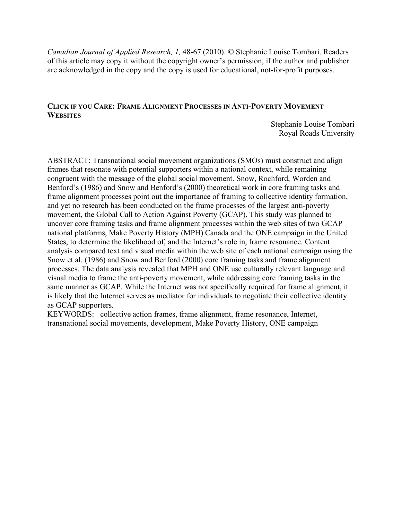*Canadian Journal of Applied Research, 1,* 48-67 (2010). © Stephanie Louise Tombari. Readers of this article may copy it without the copyright owner's permission, if the author and publisher are acknowledged in the copy and the copy is used for educational, not-for-profit purposes.

## **CLICK IF YOU CARE: FRAME ALIGNMENT PROCESSES IN ANTI-POVERTY MOVEMENT WEBSITES**

Stephanie Louise Tombari Royal Roads University

ABSTRACT: Transnational social movement organizations (SMOs) must construct and align frames that resonate with potential supporters within a national context, while remaining congruent with the message of the global social movement. Snow, Rochford, Worden and Benford's (1986) and Snow and Benford's (2000) theoretical work in core framing tasks and frame alignment processes point out the importance of framing to collective identity formation, and yet no research has been conducted on the frame processes of the largest anti-poverty movement, the Global Call to Action Against Poverty (GCAP). This study was planned to uncover core framing tasks and frame alignment processes within the web sites of two GCAP national platforms, Make Poverty History (MPH) Canada and the ONE campaign in the United States, to determine the likelihood of, and the Internet's role in, frame resonance. Content analysis compared text and visual media within the web site of each national campaign using the Snow et al. (1986) and Snow and Benford (2000) core framing tasks and frame alignment processes. The data analysis revealed that MPH and ONE use culturally relevant language and visual media to frame the anti-poverty movement, while addressing core framing tasks in the same manner as GCAP. While the Internet was not specifically required for frame alignment, it is likely that the Internet serves as mediator for individuals to negotiate their collective identity as GCAP supporters.

KEYWORDS: collective action frames, frame alignment, frame resonance, Internet, transnational social movements, development, Make Poverty History, ONE campaign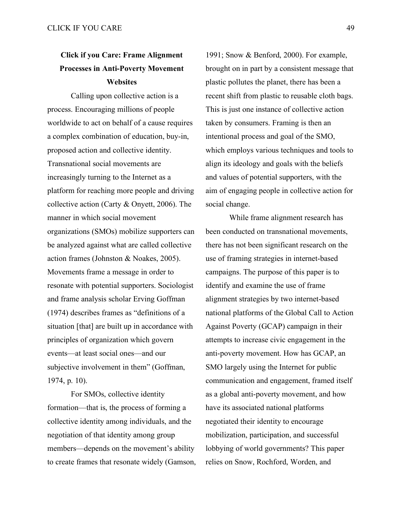# **Click if you Care: Frame Alignment Processes in Anti-Poverty Movement Websites**

Calling upon collective action is a process. Encouraging millions of people worldwide to act on behalf of a cause requires a complex combination of education, buy-in, proposed action and collective identity. Transnational social movements are increasingly turning to the Internet as a platform for reaching more people and driving collective action (Carty & Onyett, 2006). The manner in which social movement organizations (SMOs) mobilize supporters can be analyzed against what are called collective action frames (Johnston & Noakes, 2005). Movements frame a message in order to resonate with potential supporters. Sociologist and frame analysis scholar Erving Goffman (1974) describes frames as "definitions of a situation [that] are built up in accordance with principles of organization which govern events—at least social ones—and our subjective involvement in them" (Goffman, 1974, p. 10).

For SMOs, collective identity formation—that is, the process of forming a collective identity among individuals, and the negotiation of that identity among group members—depends on the movement's ability to create frames that resonate widely (Gamson,

1991; Snow & Benford, 2000). For example, brought on in part by a consistent message that plastic pollutes the planet, there has been a recent shift from plastic to reusable cloth bags. This is just one instance of collective action taken by consumers. Framing is then an intentional process and goal of the SMO, which employs various techniques and tools to align its ideology and goals with the beliefs and values of potential supporters, with the aim of engaging people in collective action for social change.

While frame alignment research has been conducted on transnational movements, there has not been significant research on the use of framing strategies in internet-based campaigns. The purpose of this paper is to identify and examine the use of frame alignment strategies by two internet-based national platforms of the Global Call to Action Against Poverty (GCAP) campaign in their attempts to increase civic engagement in the anti-poverty movement. How has GCAP, an SMO largely using the Internet for public communication and engagement, framed itself as a global anti-poverty movement, and how have its associated national platforms negotiated their identity to encourage mobilization, participation, and successful lobbying of world governments? This paper relies on Snow, Rochford, Worden, and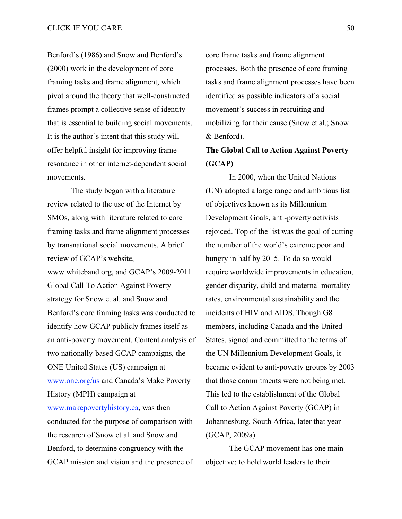Benford's (1986) and Snow and Benford's (2000) work in the development of core framing tasks and frame alignment, which pivot around the theory that well-constructed frames prompt a collective sense of identity that is essential to building social movements. It is the author's intent that this study will offer helpful insight for improving frame resonance in other internet-dependent social movements.

The study began with a literature review related to the use of the Internet by SMOs, along with literature related to core framing tasks and frame alignment processes by transnational social movements. A brief review of GCAP's website, www.whiteband.org, and GCAP's 2009-2011 Global Call To Action Against Poverty strategy for Snow et al. and Snow and Benford's core framing tasks was conducted to identify how GCAP publicly frames itself as an anti-poverty movement. Content analysis of two nationally-based GCAP campaigns, the ONE United States (US) campaign at www.one.org/us and Canada's Make Poverty History (MPH) campaign at www.makepovertyhistory.ca, was then conducted for the purpose of comparison with the research of Snow et al. and Snow and Benford, to determine congruency with the GCAP mission and vision and the presence of

core frame tasks and frame alignment processes. Both the presence of core framing tasks and frame alignment processes have been identified as possible indicators of a social movement's success in recruiting and mobilizing for their cause (Snow et al.; Snow & Benford).

## **The Global Call to Action Against Poverty (GCAP)**

In 2000, when the United Nations (UN) adopted a large range and ambitious list of objectives known as its Millennium Development Goals, anti-poverty activists rejoiced. Top of the list was the goal of cutting the number of the world's extreme poor and hungry in half by 2015. To do so would require worldwide improvements in education, gender disparity, child and maternal mortality rates, environmental sustainability and the incidents of HIV and AIDS. Though G8 members, including Canada and the United States, signed and committed to the terms of the UN Millennium Development Goals, it became evident to anti-poverty groups by 2003 that those commitments were not being met. This led to the establishment of the Global Call to Action Against Poverty (GCAP) in Johannesburg, South Africa, later that year (GCAP, 2009a).

The GCAP movement has one main objective: to hold world leaders to their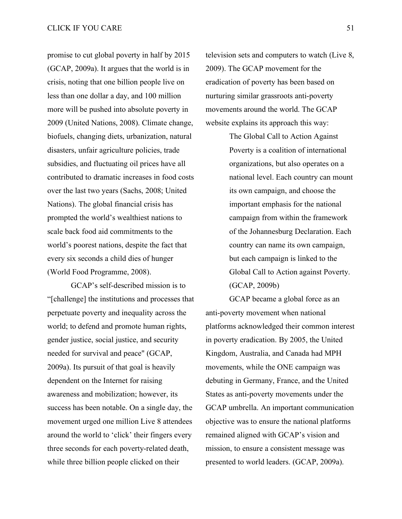promise to cut global poverty in half by 2015 (GCAP, 2009a). It argues that the world is in crisis, noting that one billion people live on less than one dollar a day, and 100 million more will be pushed into absolute poverty in 2009 (United Nations, 2008). Climate change, biofuels, changing diets, urbanization, natural disasters, unfair agriculture policies, trade subsidies, and fluctuating oil prices have all contributed to dramatic increases in food costs over the last two years (Sachs, 2008; United Nations). The global financial crisis has prompted the world's wealthiest nations to scale back food aid commitments to the world's poorest nations, despite the fact that every six seconds a child dies of hunger (World Food Programme, 2008).

GCAP's self-described mission is to "[challenge] the institutions and processes that perpetuate poverty and inequality across the world; to defend and promote human rights, gender justice, social justice, and security needed for survival and peace" (GCAP, 2009a). Its pursuit of that goal is heavily dependent on the Internet for raising awareness and mobilization; however, its success has been notable. On a single day, the movement urged one million Live 8 attendees around the world to 'click' their fingers every three seconds for each poverty-related death, while three billion people clicked on their

television sets and computers to watch (Live 8, 2009). The GCAP movement for the eradication of poverty has been based on nurturing similar grassroots anti-poverty movements around the world. The GCAP website explains its approach this way:

> The Global Call to Action Against Poverty is a coalition of international organizations, but also operates on a national level. Each country can mount its own campaign, and choose the important emphasis for the national campaign from within the framework of the Johannesburg Declaration. Each country can name its own campaign, but each campaign is linked to the Global Call to Action against Poverty. (GCAP, 2009b)

GCAP became a global force as an anti-poverty movement when national platforms acknowledged their common interest in poverty eradication. By 2005, the United Kingdom, Australia, and Canada had MPH movements, while the ONE campaign was debuting in Germany, France, and the United States as anti-poverty movements under the GCAP umbrella. An important communication objective was to ensure the national platforms remained aligned with GCAP's vision and mission, to ensure a consistent message was presented to world leaders. (GCAP, 2009a).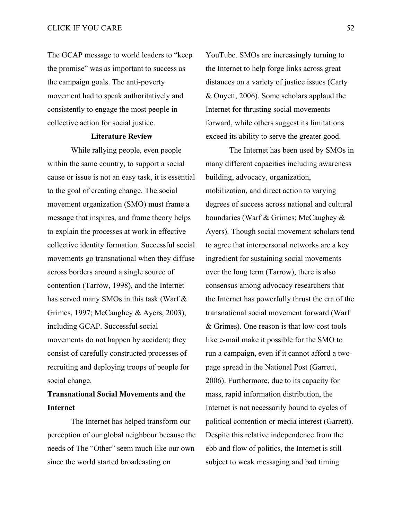The GCAP message to world leaders to "keep the promise" was as important to success as the campaign goals. The anti-poverty movement had to speak authoritatively and consistently to engage the most people in collective action for social justice.

### **Literature Review**

While rallying people, even people within the same country, to support a social cause or issue is not an easy task, it is essential to the goal of creating change. The social movement organization (SMO) must frame a message that inspires, and frame theory helps to explain the processes at work in effective collective identity formation. Successful social movements go transnational when they diffuse across borders around a single source of contention (Tarrow, 1998), and the Internet has served many SMOs in this task (Warf & Grimes, 1997; McCaughey & Ayers, 2003), including GCAP. Successful social movements do not happen by accident; they consist of carefully constructed processes of recruiting and deploying troops of people for social change.

## **Transnational Social Movements and the Internet**

The Internet has helped transform our perception of our global neighbour because the needs of The "Other" seem much like our own since the world started broadcasting on

YouTube. SMOs are increasingly turning to the Internet to help forge links across great distances on a variety of justice issues (Carty & Onyett, 2006). Some scholars applaud the Internet for thrusting social movements forward, while others suggest its limitations exceed its ability to serve the greater good.

The Internet has been used by SMOs in many different capacities including awareness building, advocacy, organization, mobilization, and direct action to varying degrees of success across national and cultural boundaries (Warf & Grimes; McCaughey & Ayers). Though social movement scholars tend to agree that interpersonal networks are a key ingredient for sustaining social movements over the long term (Tarrow), there is also consensus among advocacy researchers that the Internet has powerfully thrust the era of the transnational social movement forward (Warf & Grimes). One reason is that low-cost tools like e-mail make it possible for the SMO to run a campaign, even if it cannot afford a twopage spread in the National Post (Garrett, 2006). Furthermore, due to its capacity for mass, rapid information distribution, the Internet is not necessarily bound to cycles of political contention or media interest (Garrett). Despite this relative independence from the ebb and flow of politics, the Internet is still subject to weak messaging and bad timing.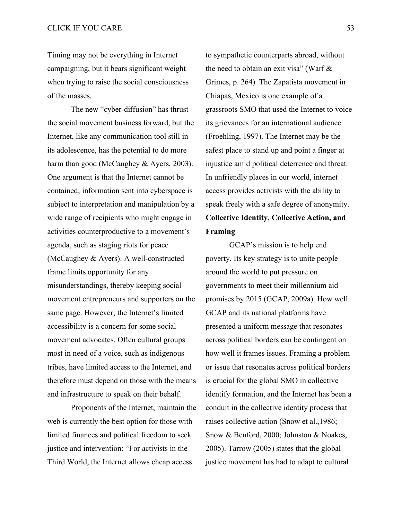Timing may not be everything in Internet campaigning, but it bears significant weight when trying to raise the social consciousness of the masses.

The new "cyber-diffusion" has thrust the social movement business forward, but the Internet, like any communication tool still in its adolescence, has the potential to do more harm than good (McCaughey & Ayers, 2003). One argument is that the Internet cannot be contained; information sent into cyberspace is subject to interpretation and manipulation by a wide range of recipients who might engage in activities counterproductive to a movement's agenda, such as staging riots for peace (McCaughey & Ayers). A well-constructed frame limits opportunity for any misunderstandings, thereby keeping social movement entrepreneurs and supporters on the same page. However, the Internet's limited accessibility is a concern for some social movement advocates. Often cultural groups most in need of a voice, such as indigenous tribes, have limited access to the Internet, and therefore must depend on those with the means and infrastructure to speak on their behalf.

Proponents of the Internet, maintain the web is currently the best option for those with limited finances and political freedom to seek justice and intervention: "For activists in the Third World, the Internet allows cheap access

to sympathetic counterparts abroad, without the need to obtain an exit visa" (Warf & Grimes, p. 264). The Zapatista movement in Chiapas, Mexico is one example of a grassroots SMO that used the Internet to voice its grievances for an international audience (Froehling, 1997). The Internet may be the safest place to stand up and point a finger at injustice amid political deterrence and threat. In unfriendly places in our world, internet access provides activists with the ability to speak freely with a safe degree of anonymity. **Collective Identity, Collective Action, and Framing**

GCAP's mission is to help end poverty. Its key strategy is to unite people around the world to put pressure on governments to meet their millennium aid promises by 2015 (GCAP, 2009a). How well GCAP and its national platforms have presented a uniform message that resonates across political borders can be contingent on how well it frames issues. Framing a problem or issue that resonates across political borders is crucial for the global SMO in collective identify formation, and the Internet has been a conduit in the collective identity process that raises collective action (Snow et al.,1986; Snow & Benford, 2000; Johnston & Noakes, 2005). Tarrow (2005) states that the global justice movement has had to adapt to cultural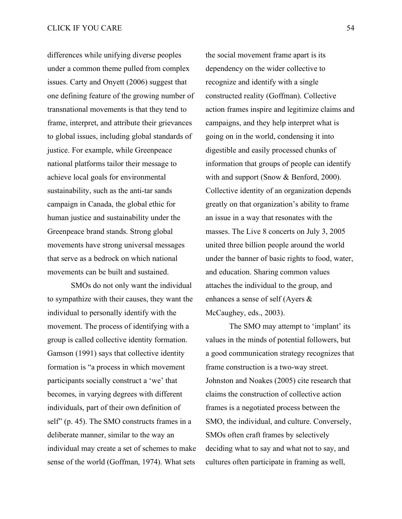differences while unifying diverse peoples under a common theme pulled from complex issues. Carty and Onyett (2006) suggest that one defining feature of the growing number of transnational movements is that they tend to frame, interpret, and attribute their grievances to global issues, including global standards of justice. For example, while Greenpeace national platforms tailor their message to achieve local goals for environmental sustainability, such as the anti-tar sands campaign in Canada, the global ethic for human justice and sustainability under the Greenpeace brand stands. Strong global movements have strong universal messages that serve as a bedrock on which national movements can be built and sustained.

SMOs do not only want the individual to sympathize with their causes, they want the individual to personally identify with the movement. The process of identifying with a group is called collective identity formation. Gamson (1991) says that collective identity formation is "a process in which movement participants socially construct a 'we' that becomes, in varying degrees with different individuals, part of their own definition of self" (p. 45). The SMO constructs frames in a deliberate manner, similar to the way an individual may create a set of schemes to make sense of the world (Goffman, 1974). What sets

the social movement frame apart is its dependency on the wider collective to recognize and identify with a single constructed reality (Goffman). Collective action frames inspire and legitimize claims and campaigns, and they help interpret what is going on in the world, condensing it into digestible and easily processed chunks of information that groups of people can identify with and support (Snow & Benford, 2000). Collective identity of an organization depends greatly on that organization's ability to frame an issue in a way that resonates with the masses. The Live 8 concerts on July 3, 2005 united three billion people around the world under the banner of basic rights to food, water, and education. Sharing common values attaches the individual to the group, and enhances a sense of self (Ayers & McCaughey, eds., 2003).

The SMO may attempt to 'implant' its values in the minds of potential followers, but a good communication strategy recognizes that frame construction is a two-way street. Johnston and Noakes (2005) cite research that claims the construction of collective action frames is a negotiated process between the SMO, the individual, and culture. Conversely, SMOs often craft frames by selectively deciding what to say and what not to say, and cultures often participate in framing as well,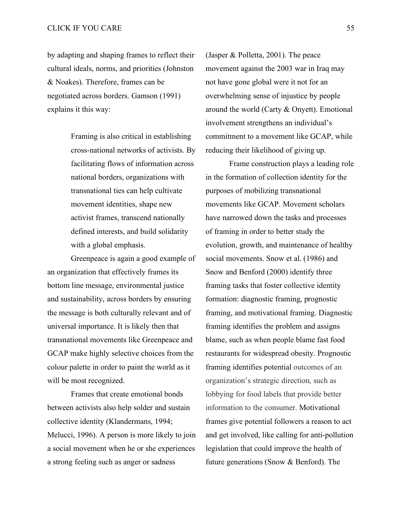by adapting and shaping frames to reflect their cultural ideals, norms, and priorities (Johnston & Noakes). Therefore, frames can be negotiated across borders. Gamson (1991) explains it this way:

> Framing is also critical in establishing cross-national networks of activists. By facilitating flows of information across national borders, organizations with transnational ties can help cultivate movement identities, shape new activist frames, transcend nationally defined interests, and build solidarity with a global emphasis.

Greenpeace is again a good example of an organization that effectively frames its bottom line message, environmental justice and sustainability, across borders by ensuring the message is both culturally relevant and of universal importance. It is likely then that transnational movements like Greenpeace and GCAP make highly selective choices from the colour palette in order to paint the world as it will be most recognized.

Frames that create emotional bonds between activists also help solder and sustain collective identity (Klandermans, 1994; Melucci, 1996). A person is more likely to join a social movement when he or she experiences a strong feeling such as anger or sadness

(Jasper & Polletta, 2001). The peace movement against the 2003 war in Iraq may not have gone global were it not for an overwhelming sense of injustice by people around the world (Carty & Onyett). Emotional involvement strengthens an individual's commitment to a movement like GCAP, while reducing their likelihood of giving up.

Frame construction plays a leading role in the formation of collection identity for the purposes of mobilizing transnational movements like GCAP. Movement scholars have narrowed down the tasks and processes of framing in order to better study the evolution, growth, and maintenance of healthy social movements. Snow et al. (1986) and Snow and Benford (2000) identify three framing tasks that foster collective identity formation: diagnostic framing, prognostic framing, and motivational framing. Diagnostic framing identifies the problem and assigns blame, such as when people blame fast food restaurants for widespread obesity. Prognostic framing identifies potential outcomes of an organization's strategic direction, such as lobbying for food labels that provide better information to the consumer. Motivational frames give potential followers a reason to act and get involved, like calling for anti-pollution legislation that could improve the health of future generations (Snow & Benford). The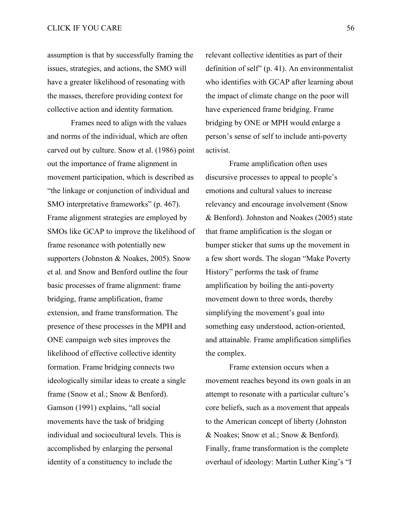assumption is that by successfully framing the issues, strategies, and actions, the SMO will have a greater likelihood of resonating with the masses, therefore providing context for collective action and identity formation.

Frames need to align with the values and norms of the individual, which are often carved out by culture. Snow et al. (1986) point out the importance of frame alignment in movement participation, which is described as "the linkage or conjunction of individual and SMO interpretative frameworks" (p. 467). Frame alignment strategies are employed by SMOs like GCAP to improve the likelihood of frame resonance with potentially new supporters (Johnston & Noakes, 2005). Snow et al. and Snow and Benford outline the four basic processes of frame alignment: frame bridging, frame amplification, frame extension, and frame transformation. The presence of these processes in the MPH and ONE campaign web sites improves the likelihood of effective collective identity formation. Frame bridging connects two ideologically similar ideas to create a single frame (Snow et al.; Snow & Benford). Gamson (1991) explains, "all social movements have the task of bridging individual and sociocultural levels. This is accomplished by enlarging the personal identity of a constituency to include the

relevant collective identities as part of their definition of self" (p. 41). An environmentalist who identifies with GCAP after learning about the impact of climate change on the poor will have experienced frame bridging. Frame bridging by ONE or MPH would enlarge a person's sense of self to include anti-poverty activist.

Frame amplification often uses discursive processes to appeal to people's emotions and cultural values to increase relevancy and encourage involvement (Snow & Benford). Johnston and Noakes (2005) state that frame amplification is the slogan or bumper sticker that sums up the movement in a few short words. The slogan "Make Poverty History" performs the task of frame amplification by boiling the anti-poverty movement down to three words, thereby simplifying the movement's goal into something easy understood, action-oriented, and attainable. Frame amplification simplifies the complex.

Frame extension occurs when a movement reaches beyond its own goals in an attempt to resonate with a particular culture's core beliefs, such as a movement that appeals to the American concept of liberty (Johnston & Noakes; Snow et al.; Snow & Benford). Finally, frame transformation is the complete overhaul of ideology: Martin Luther King's "I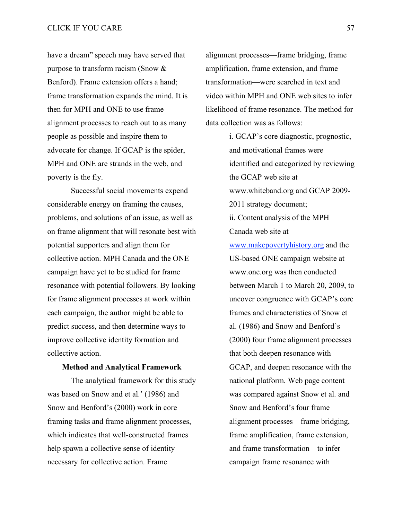have a dream" speech may have served that purpose to transform racism (Snow & Benford). Frame extension offers a hand; frame transformation expands the mind. It is then for MPH and ONE to use frame alignment processes to reach out to as many people as possible and inspire them to advocate for change. If GCAP is the spider, MPH and ONE are strands in the web, and poverty is the fly.

Successful social movements expend considerable energy on framing the causes, problems, and solutions of an issue, as well as on frame alignment that will resonate best with potential supporters and align them for collective action. MPH Canada and the ONE campaign have yet to be studied for frame resonance with potential followers. By looking for frame alignment processes at work within each campaign, the author might be able to predict success, and then determine ways to improve collective identity formation and collective action.

### **Method and Analytical Framework**

The analytical framework for this study was based on Snow and et al.' (1986) and Snow and Benford's (2000) work in core framing tasks and frame alignment processes, which indicates that well-constructed frames help spawn a collective sense of identity necessary for collective action. Frame

alignment processes—frame bridging, frame amplification, frame extension, and frame transformation—were searched in text and video within MPH and ONE web sites to infer likelihood of frame resonance. The method for data collection was as follows:

> i. GCAP's core diagnostic, prognostic, and motivational frames were identified and categorized by reviewing the GCAP web site at www.whiteband.org and GCAP 2009- 2011 strategy document; ii. Content analysis of the MPH Canada web site at www.makepovertyhistory.org and the US-based ONE campaign website at www.one.org was then conducted between March 1 to March 20, 2009, to uncover congruence with GCAP's core frames and characteristics of Snow et al. (1986) and Snow and Benford's (2000) four frame alignment processes that both deepen resonance with GCAP, and deepen resonance with the national platform. Web page content was compared against Snow et al. and Snow and Benford's four frame alignment processes—frame bridging, frame amplification, frame extension, and frame transformation—to infer campaign frame resonance with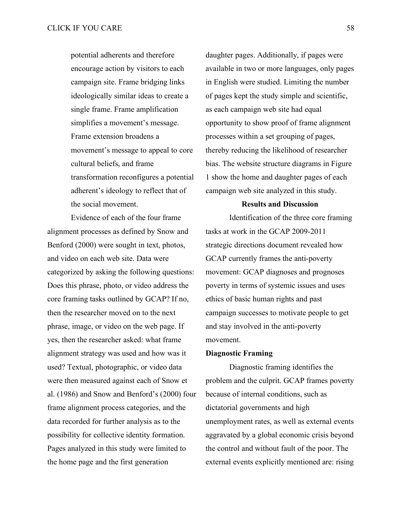potential adherents and therefore encourage action by visitors to each campaign site. Frame bridging links ideologically similar ideas to create a single frame. Frame amplification simplifies a movement's message. Frame extension broadens a movement's message to appeal to core cultural beliefs, and frame transformation reconfigures a potential adherent's ideology to reflect that of the social movement.

Evidence of each of the four frame alignment processes as defined by Snow and Benford (2000) were sought in text, photos, and video on each web site. Data were categorized by asking the following questions: Does this phrase, photo, or video address the core framing tasks outlined by GCAP? If no, then the researcher moved on to the next phrase, image, or video on the web page. If yes, then the researcher asked: what frame alignment strategy was used and how was it used? Textual, photographic, or video data were then measured against each of Snow et al. (1986) and Snow and Benford's (2000) four frame alignment process categories, and the data recorded for further analysis as to the possibility for collective identity formation. Pages analyzed in this study were limited to the home page and the first generation

daughter pages. Additionally, if pages were available in two or more languages, only pages in English were studied. Limiting the number of pages kept the study simple and scientific, as each campaign web site had equal opportunity to show proof of frame alignment processes within a set grouping of pages, thereby reducing the likelihood of researcher bias. The website structure diagrams in Figure 1 show the home and daughter pages of each campaign web site analyzed in this study.

### **Results and Discussion**

Identification of the three core framing tasks at work in the GCAP 2009-2011 strategic directions document revealed how GCAP currently frames the anti-poverty movement: GCAP diagnoses and prognoses poverty in terms of systemic issues and uses ethics of basic human rights and past campaign successes to motivate people to get and stay involved in the anti-poverty movement.

### **Diagnostic Framing**

Diagnostic framing identifies the problem and the culprit. GCAP frames poverty because of internal conditions, such as dictatorial governments and high unemployment rates, as well as external events aggravated by a global economic crisis beyond the control and without fault of the poor. The external events explicitly mentioned are: rising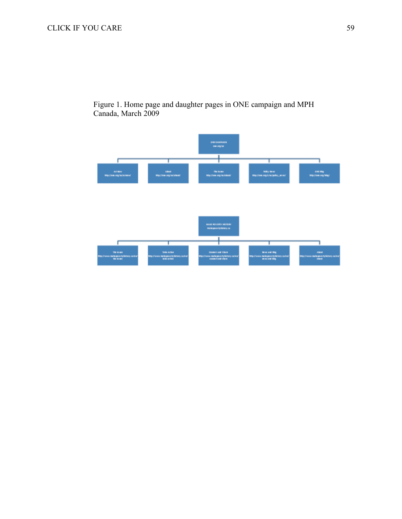

Figure 1. Home page and daughter pages in ONE campaign and MPH Canada, March 2009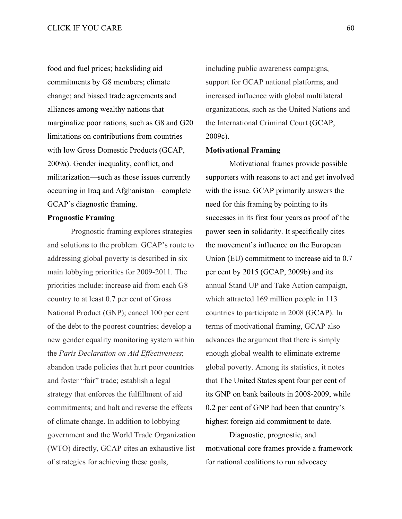food and fuel prices; backsliding aid commitments by G8 members; climate change; and biased trade agreements and alliances among wealthy nations that marginalize poor nations, such as G8 and G20 limitations on contributions from countries with low Gross Domestic Products (GCAP, 2009a). Gender inequality, conflict, and militarization—such as those issues currently occurring in Iraq and Afghanistan—complete GCAP's diagnostic framing.

## **Prognostic Framing**

Prognostic framing explores strategies and solutions to the problem. GCAP's route to addressing global poverty is described in six main lobbying priorities for 2009-2011. The priorities include: increase aid from each G8 country to at least 0.7 per cent of Gross National Product (GNP); cancel 100 per cent of the debt to the poorest countries; develop a new gender equality monitoring system within the *Paris Declaration on Aid Effectiveness*; abandon trade policies that hurt poor countries and foster "fair" trade; establish a legal strategy that enforces the fulfillment of aid commitments; and halt and reverse the effects of climate change. In addition to lobbying government and the World Trade Organization (WTO) directly, GCAP cites an exhaustive list of strategies for achieving these goals,

including public awareness campaigns, support for GCAP national platforms, and increased influence with global multilateral organizations, such as the United Nations and the International Criminal Court (GCAP, 2009c).

#### **Motivational Framing**

Motivational frames provide possible supporters with reasons to act and get involved with the issue. GCAP primarily answers the need for this framing by pointing to its successes in its first four years as proof of the power seen in solidarity. It specifically cites the movement's influence on the European Union (EU) commitment to increase aid to 0.7 per cent by 2015 (GCAP, 2009b) and its annual Stand UP and Take Action campaign, which attracted 169 million people in 113 countries to participate in 2008 (GCAP). In terms of motivational framing, GCAP also advances the argument that there is simply enough global wealth to eliminate extreme global poverty. Among its statistics, it notes that The United States spent four per cent of its GNP on bank bailouts in 2008-2009, while 0.2 per cent of GNP had been that country's highest foreign aid commitment to date.

Diagnostic, prognostic, and motivational core frames provide a framework for national coalitions to run advocacy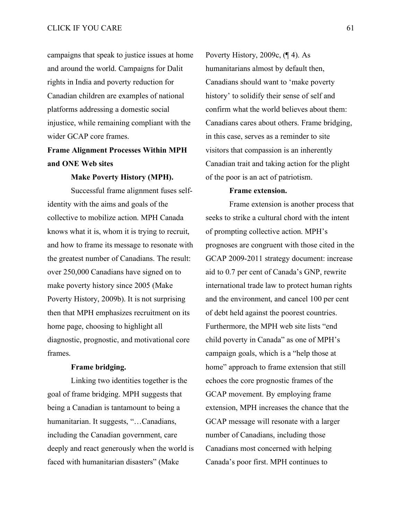campaigns that speak to justice issues at home and around the world. Campaigns for Dalit rights in India and poverty reduction for Canadian children are examples of national platforms addressing a domestic social injustice, while remaining compliant with the wider GCAP core frames.

## **Frame Alignment Processes Within MPH and ONE Web sites**

**Make Poverty History (MPH).**

Successful frame alignment fuses selfidentity with the aims and goals of the collective to mobilize action. MPH Canada knows what it is, whom it is trying to recruit, and how to frame its message to resonate with the greatest number of Canadians. The result: over 250,000 Canadians have signed on to make poverty history since 2005 (Make Poverty History, 2009b). It is not surprising then that MPH emphasizes recruitment on its home page, choosing to highlight all diagnostic, prognostic, and motivational core frames.

### **Frame bridging.**

Linking two identities together is the goal of frame bridging. MPH suggests that being a Canadian is tantamount to being a humanitarian. It suggests, "...Canadians, including the Canadian government, care deeply and react generously when the world is faced with humanitarian disasters" (Make

Poverty History, 2009c, (¶ 4). As humanitarians almost by default then, Canadians should want to 'make poverty history' to solidify their sense of self and confirm what the world believes about them: Canadians cares about others. Frame bridging, in this case, serves as a reminder to site visitors that compassion is an inherently Canadian trait and taking action for the plight of the poor is an act of patriotism.

### **Frame extension.**

Frame extension is another process that seeks to strike a cultural chord with the intent of prompting collective action. MPH's prognoses are congruent with those cited in the GCAP 2009-2011 strategy document: increase aid to 0.7 per cent of Canada's GNP, rewrite international trade law to protect human rights and the environment, and cancel 100 per cent of debt held against the poorest countries. Furthermore, the MPH web site lists "end child poverty in Canada" as one of MPH's campaign goals, which is a "help those at home" approach to frame extension that still echoes the core prognostic frames of the GCAP movement. By employing frame extension, MPH increases the chance that the GCAP message will resonate with a larger number of Canadians, including those Canadians most concerned with helping Canada's poor first. MPH continues to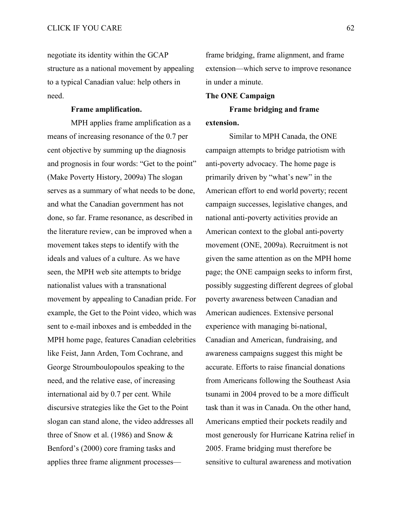negotiate its identity within the GCAP structure as a national movement by appealing to a typical Canadian value: help others in need.

### **Frame amplification.**

MPH applies frame amplification as a means of increasing resonance of the 0.7 per cent objective by summing up the diagnosis and prognosis in four words: "Get to the point" (Make Poverty History, 2009a) The slogan serves as a summary of what needs to be done, and what the Canadian government has not done, so far. Frame resonance, as described in the literature review, can be improved when a movement takes steps to identify with the ideals and values of a culture. As we have seen, the MPH web site attempts to bridge nationalist values with a transnational movement by appealing to Canadian pride. For example, the Get to the Point video, which was sent to e-mail inboxes and is embedded in the MPH home page, features Canadian celebrities like Feist, Jann Arden, Tom Cochrane, and George Stroumboulopoulos speaking to the need, and the relative ease, of increasing international aid by 0.7 per cent. While discursive strategies like the Get to the Point slogan can stand alone, the video addresses all three of Snow et al. (1986) and Snow & Benford's (2000) core framing tasks and applies three frame alignment processesframe bridging, frame alignment, and frame extension—which serve to improve resonance in under a minute.

### **The ONE Campaign**

**Frame bridging and frame extension.**

Similar to MPH Canada, the ONE campaign attempts to bridge patriotism with anti-poverty advocacy. The home page is primarily driven by "what's new" in the American effort to end world poverty; recent campaign successes, legislative changes, and national anti-poverty activities provide an American context to the global anti-poverty movement (ONE, 2009a). Recruitment is not given the same attention as on the MPH home page; the ONE campaign seeks to inform first, possibly suggesting different degrees of global poverty awareness between Canadian and American audiences. Extensive personal experience with managing bi-national, Canadian and American, fundraising, and awareness campaigns suggest this might be accurate. Efforts to raise financial donations from Americans following the Southeast Asia tsunami in 2004 proved to be a more difficult task than it was in Canada. On the other hand, Americans emptied their pockets readily and most generously for Hurricane Katrina relief in 2005. Frame bridging must therefore be sensitive to cultural awareness and motivation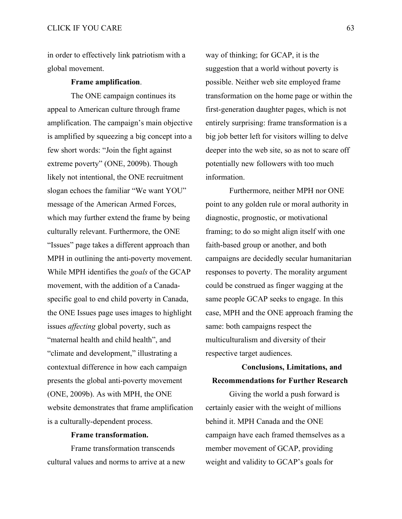in order to effectively link patriotism with a global movement.

#### **Frame amplification**.

The ONE campaign continues its appeal to American culture through frame amplification. The campaign's main objective is amplified by squeezing a big concept into a few short words: "Join the fight against extreme poverty" (ONE, 2009b). Though likely not intentional, the ONE recruitment slogan echoes the familiar "We want YOU" message of the American Armed Forces, which may further extend the frame by being culturally relevant. Furthermore, the ONE "Issues" page takes a different approach than MPH in outlining the anti-poverty movement. While MPH identifies the *goals* of the GCAP movement, with the addition of a Canadaspecific goal to end child poverty in Canada, the ONE Issues page uses images to highlight issues *affecting* global poverty, such as "maternal health and child health", and "climate and development," illustrating a contextual difference in how each campaign presents the global anti-poverty movement (ONE, 2009b). As with MPH, the ONE website demonstrates that frame amplification is a culturally-dependent process.

#### **Frame transformation.**

Frame transformation transcends cultural values and norms to arrive at a new way of thinking; for GCAP, it is the suggestion that a world without poverty is possible. Neither web site employed frame transformation on the home page or within the first-generation daughter pages, which is not entirely surprising: frame transformation is a big job better left for visitors willing to delve deeper into the web site, so as not to scare off potentially new followers with too much information.

Furthermore, neither MPH nor ONE point to any golden rule or moral authority in diagnostic, prognostic, or motivational framing; to do so might align itself with one faith-based group or another, and both campaigns are decidedly secular humanitarian responses to poverty. The morality argument could be construed as finger wagging at the same people GCAP seeks to engage. In this case, MPH and the ONE approach framing the same: both campaigns respect the multiculturalism and diversity of their respective target audiences.

## **Conclusions, Limitations, and Recommendations for Further Research**

Giving the world a push forward is certainly easier with the weight of millions behind it. MPH Canada and the ONE campaign have each framed themselves as a member movement of GCAP, providing weight and validity to GCAP's goals for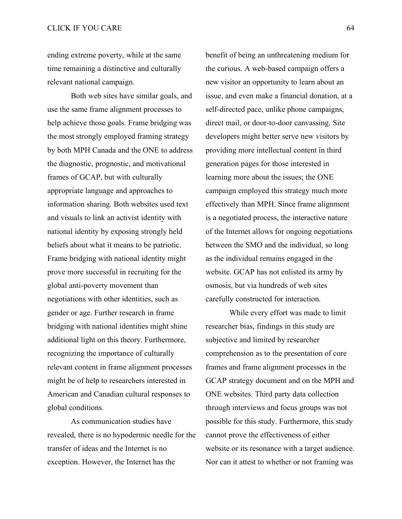ending extreme poverty, while at the same time remaining a distinctive and culturally relevant national campaign.

Both web sites have similar goals, and use the same frame alignment processes to help achieve those goals. Frame bridging was the most strongly employed framing strategy by both MPH Canada and the ONE to address the diagnostic, prognostic, and motivational frames of GCAP, but with culturally appropriate language and approaches to information sharing. Both websites used text and visuals to link an activist identity with national identity by exposing strongly held beliefs about what it means to be patriotic. Frame bridging with national identity might prove more successful in recruiting for the global anti-poverty movement than negotiations with other identities, such as gender or age. Further research in frame bridging with national identities might shine additional light on this theory. Furthermore, recognizing the importance of culturally relevant content in frame alignment processes might be of help to researchers interested in American and Canadian cultural responses to global conditions.

As communication studies have revealed, there is no hypodermic needle for the transfer of ideas and the Internet is no exception. However, the Internet has the

benefit of being an unthreatening medium for the curious. A web-based campaign offers a new visitor an opportunity to learn about an issue, and even make a financial donation, at a self-directed pace, unlike phone campaigns, direct mail, or door-to-door canvassing. Site developers might better serve new visitors by providing more intellectual content in third generation pages for those interested in learning more about the issues; the ONE campaign employed this strategy much more effectively than MPH. Since frame alignment is a negotiated process, the interactive nature of the Internet allows for ongoing negotiations between the SMO and the individual, so long as the individual remains engaged in the website. GCAP has not enlisted its army by osmosis, but via hundreds of web sites carefully constructed for interaction.

While every effort was made to limit researcher bias, findings in this study are subjective and limited by researcher comprehension as to the presentation of core frames and frame alignment processes in the GCAP strategy document and on the MPH and ONE websites. Third party data collection through interviews and focus groups was not possible for this study. Furthermore, this study cannot prove the effectiveness of either website or its resonance with a target audience. Nor can it attest to whether or not framing was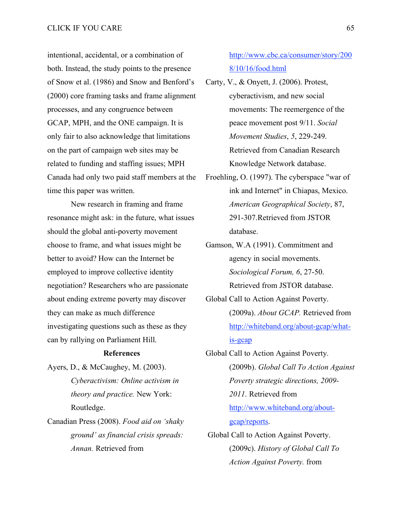intentional, accidental, or a combination of both. Instead, the study points to the presence of Snow et al. (1986) and Snow and Benford's (2000) core framing tasks and frame alignment processes, and any congruence between GCAP, MPH, and the ONE campaign. It is only fair to also acknowledge that limitations on the part of campaign web sites may be related to funding and staffing issues; MPH Canada had only two paid staff members at the time this paper was written.

New research in framing and frame resonance might ask: in the future, what issues should the global anti-poverty movement choose to frame, and what issues might be better to avoid? How can the Internet be employed to improve collective identity negotiation? Researchers who are passionate about ending extreme poverty may discover they can make as much difference investigating questions such as these as they can by rallying on Parliament Hill.

#### **References**

Ayers, D., & McCaughey, M. (2003). *Cyberactivism: Online activism in theory and practice.* New York: Routledge.

Canadian Press (2008). *Food aid on 'shaky ground' as financial crisis spreads: Annan.* Retrieved from

http://www.cbc.ca/consumer/story/200 8/10/16/food.html

- Carty, V., & Onyett, J. (2006). Protest, cyberactivism, and new social movements: The reemergence of the peace movement post 9/11. *Social Movement Studies*, *5*, 229-249. Retrieved from Canadian Research Knowledge Network database.
- Froehling, O. (1997). The cyberspace "war of ink and Internet" in Chiapas, Mexico. *American Geographical Society*, 87, 291-307.Retrieved from JSTOR database.
- Gamson, W.A (1991). Commitment and agency in social movements. *Sociological Forum, 6*, 27-50. Retrieved from JSTOR database.
- Global Call to Action Against Poverty. (2009a). *About GCAP.* Retrieved from http://whiteband.org/about-gcap/whatis-gcap
- Global Call to Action Against Poverty. (2009b). *Global Call To Action Against Poverty strategic directions, 2009- 2011*. Retrieved from http://www.whiteband.org/aboutgcap/reports. Global Call to Action Against Poverty. (2009c). *History of Global Call To*

*Action Against Poverty.* from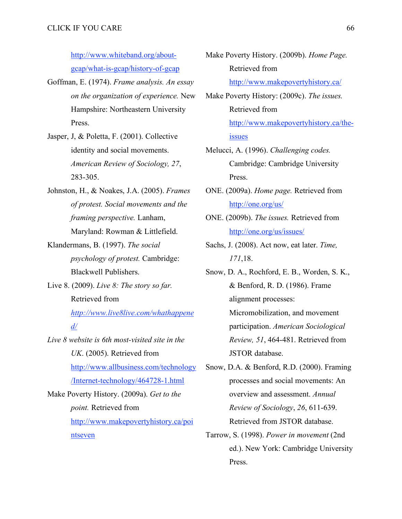http://www.whiteband.org/aboutgcap/what-is-gcap/history-of-gcap

- Goffman, E. (1974). *Frame analysis. An essay on the organization of experience.* New Hampshire: Northeastern University Press.
- Jasper, J, & Poletta, F. (2001). Collective identity and social movements. *American Review of Sociology, 27*, 283-305.
- Johnston, H., & Noakes, J.A. (2005). *Frames of protest. Social movements and the framing perspective.* Lanham, Maryland: Rowman & Littlefield.
- Klandermans, B. (1997). *The social psychology of protest.* Cambridge: Blackwell Publishers.
- Live 8. (2009). *Live 8: The story so far.* Retrieved from

*http://www.live8live.com/whathappene d/*

*Live 8 website is 6th most-visited site in the UK*. (2005). Retrieved from http://www.allbusiness.com/technology /Internet-technology/464728-1.html Make Poverty History. (2009a). *Get to the point.* Retrieved from

> http://www.makepovertyhistory.ca/poi ntseven

- Make Poverty History. (2009b). *Home Page.* Retrieved from http://www.makepovertyhistory.ca/
- Make Poverty History: (2009c). *The issues.* Retrieved from http://www.makepovertyhistory.ca/theissues
- Melucci, A. (1996). *Challenging codes.* Cambridge: Cambridge University Press.
- ONE. (2009a). *Home page.* Retrieved from http://one.org/us/
- ONE. (2009b). *The issues.* Retrieved from http://one.org/us/issues/
- Sachs, J. (2008). Act now, eat later. *Time, 171*,18.
- Snow, D. A., Rochford, E. B., Worden, S. K., & Benford, R. D. (1986). Frame alignment processes: Micromobilization, and movement participation. *American Sociological Review, 51*, 464-481. Retrieved from JSTOR database.
- Snow, D.A. & Benford, R.D. (2000). Framing processes and social movements: An overview and assessment. *Annual Review of Sociology*, *26*, 611-639. Retrieved from JSTOR database.
- Tarrow, S. (1998). *Power in movement* (2nd ed.). New York: Cambridge University Press.